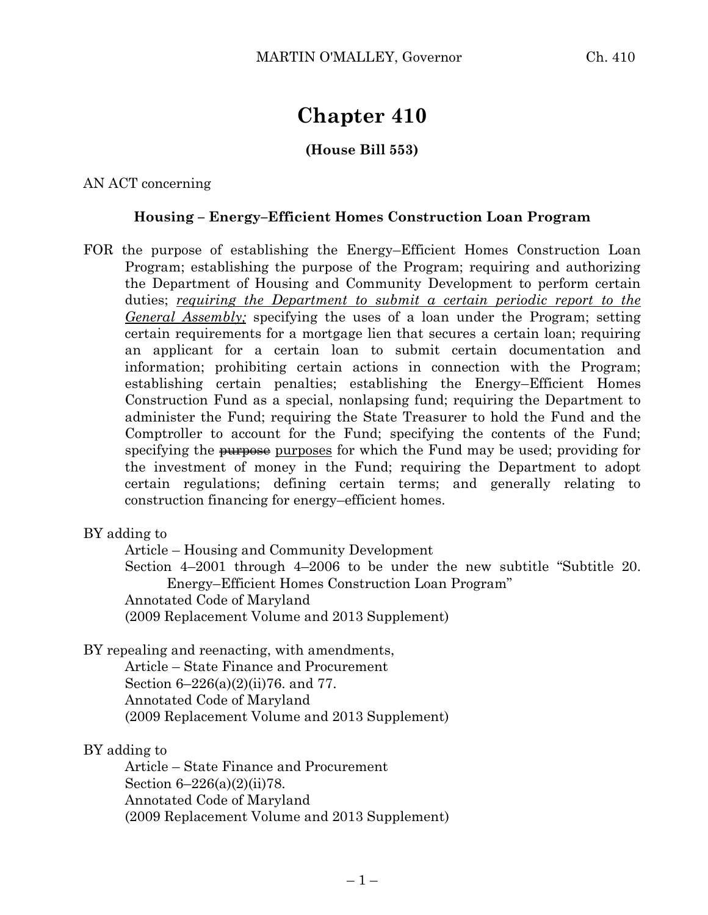# **Chapter 410**

## **(House Bill 553)**

AN ACT concerning

#### **Housing – Energy–Efficient Homes Construction Loan Program**

FOR the purpose of establishing the Energy–Efficient Homes Construction Loan Program; establishing the purpose of the Program; requiring and authorizing the Department of Housing and Community Development to perform certain duties; *requiring the Department to submit a certain periodic report to the General Assembly;* specifying the uses of a loan under the Program; setting certain requirements for a mortgage lien that secures a certain loan; requiring an applicant for a certain loan to submit certain documentation and information; prohibiting certain actions in connection with the Program; establishing certain penalties; establishing the Energy–Efficient Homes Construction Fund as a special, nonlapsing fund; requiring the Department to administer the Fund; requiring the State Treasurer to hold the Fund and the Comptroller to account for the Fund; specifying the contents of the Fund; specifying the purposes purposes for which the Fund may be used; providing for the investment of money in the Fund; requiring the Department to adopt certain regulations; defining certain terms; and generally relating to construction financing for energy–efficient homes.

#### BY adding to

Article – Housing and Community Development Section 4–2001 through 4–2006 to be under the new subtitle "Subtitle 20. Energy–Efficient Homes Construction Loan Program" Annotated Code of Maryland (2009 Replacement Volume and 2013 Supplement)

## BY repealing and reenacting, with amendments,

Article – State Finance and Procurement Section 6–226(a)(2)(ii)76. and 77. Annotated Code of Maryland (2009 Replacement Volume and 2013 Supplement)

#### BY adding to

Article – State Finance and Procurement Section 6–226(a)(2)(ii)78. Annotated Code of Maryland (2009 Replacement Volume and 2013 Supplement)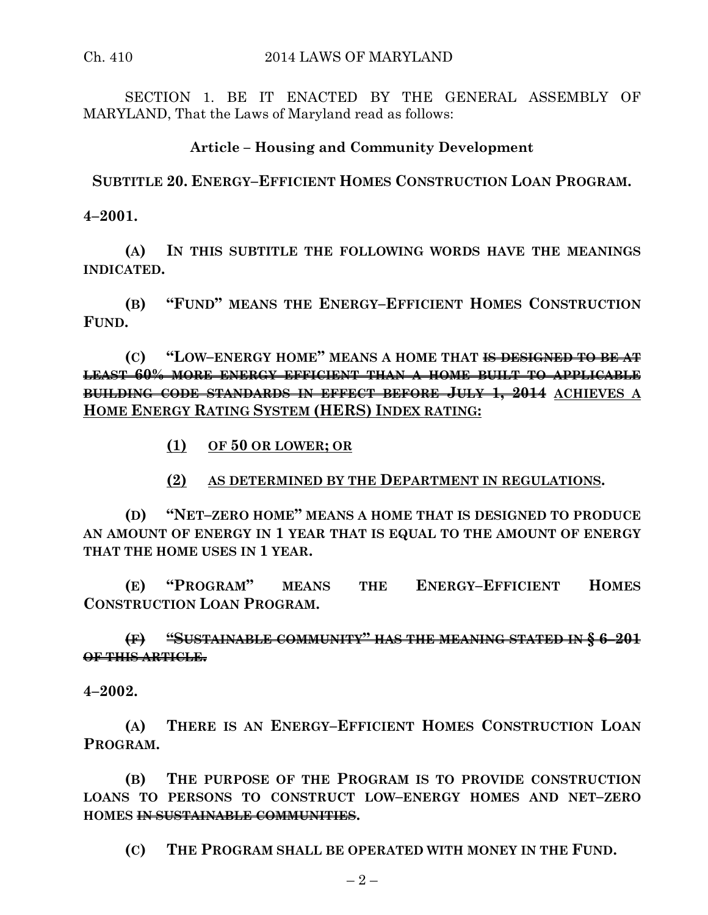SECTION 1. BE IT ENACTED BY THE GENERAL ASSEMBLY OF MARYLAND, That the Laws of Maryland read as follows:

### **Article – Housing and Community Development**

**SUBTITLE 20. ENERGY–EFFICIENT HOMES CONSTRUCTION LOAN PROGRAM.**

**4–2001.**

**(A) IN THIS SUBTITLE THE FOLLOWING WORDS HAVE THE MEANINGS INDICATED.**

**(B) "FUND" MEANS THE ENERGY–EFFICIENT HOMES CONSTRUCTION FUND.**

**(C) "LOW–ENERGY HOME" MEANS A HOME THAT IS DESIGNED TO BE AT LEAST 60% MORE ENERGY EFFICIENT THAN A HOME BUILT TO APPLICABLE BUILDING CODE STANDARDS IN EFFECT BEFORE JULY 1, 2014 ACHIEVES A HOME ENERGY RATING SYSTEM (HERS) INDEX RATING:**

- **(1) OF 50 OR LOWER; OR**
- **(2) AS DETERMINED BY THE DEPARTMENT IN REGULATIONS.**

**(D) "NET–ZERO HOME" MEANS A HOME THAT IS DESIGNED TO PRODUCE AN AMOUNT OF ENERGY IN 1 YEAR THAT IS EQUAL TO THE AMOUNT OF ENERGY THAT THE HOME USES IN 1 YEAR.**

**(E) "PROGRAM" MEANS THE ENERGY–EFFICIENT HOMES CONSTRUCTION LOAN PROGRAM.**

**(F) "SUSTAINABLE COMMUNITY" HAS THE MEANING STATED IN § 6–201 OF THIS ARTICLE.**

**4–2002.**

**(A) THERE IS AN ENERGY–EFFICIENT HOMES CONSTRUCTION LOAN PROGRAM.**

**(B) THE PURPOSE OF THE PROGRAM IS TO PROVIDE CONSTRUCTION LOANS TO PERSONS TO CONSTRUCT LOW–ENERGY HOMES AND NET–ZERO HOMES IN SUSTAINABLE COMMUNITIES.**

**(C) THE PROGRAM SHALL BE OPERATED WITH MONEY IN THE FUND.**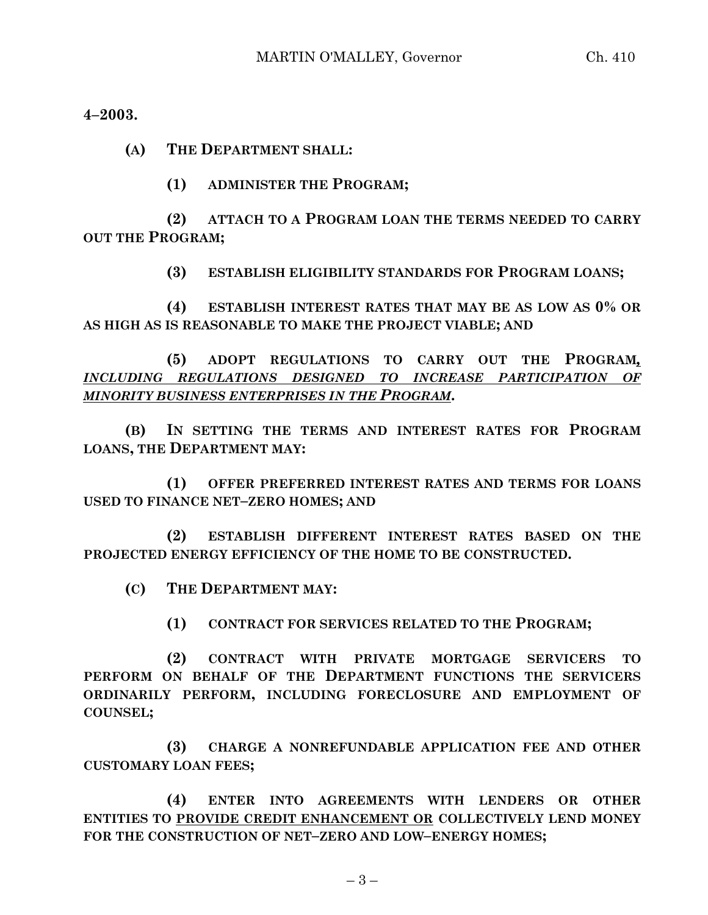**4–2003.**

**(A) THE DEPARTMENT SHALL:**

**(1) ADMINISTER THE PROGRAM;**

**(2) ATTACH TO A PROGRAM LOAN THE TERMS NEEDED TO CARRY OUT THE PROGRAM;**

**(3) ESTABLISH ELIGIBILITY STANDARDS FOR PROGRAM LOANS;**

**(4) ESTABLISH INTEREST RATES THAT MAY BE AS LOW AS 0% OR AS HIGH AS IS REASONABLE TO MAKE THE PROJECT VIABLE; AND**

**(5) ADOPT REGULATIONS TO CARRY OUT THE PROGRAM***, INCLUDING REGULATIONS DESIGNED TO INCREASE PARTICIPATION OF MINORITY BUSINESS ENTERPRISES IN THE PROGRAM***.**

**(B) IN SETTING THE TERMS AND INTEREST RATES FOR PROGRAM LOANS, THE DEPARTMENT MAY:**

**(1) OFFER PREFERRED INTEREST RATES AND TERMS FOR LOANS USED TO FINANCE NET–ZERO HOMES; AND**

**(2) ESTABLISH DIFFERENT INTEREST RATES BASED ON THE PROJECTED ENERGY EFFICIENCY OF THE HOME TO BE CONSTRUCTED.**

**(C) THE DEPARTMENT MAY:**

**(1) CONTRACT FOR SERVICES RELATED TO THE PROGRAM;**

**(2) CONTRACT WITH PRIVATE MORTGAGE SERVICERS TO PERFORM ON BEHALF OF THE DEPARTMENT FUNCTIONS THE SERVICERS ORDINARILY PERFORM, INCLUDING FORECLOSURE AND EMPLOYMENT OF COUNSEL;**

**(3) CHARGE A NONREFUNDABLE APPLICATION FEE AND OTHER CUSTOMARY LOAN FEES;**

**(4) ENTER INTO AGREEMENTS WITH LENDERS OR OTHER ENTITIES TO PROVIDE CREDIT ENHANCEMENT OR COLLECTIVELY LEND MONEY FOR THE CONSTRUCTION OF NET–ZERO AND LOW–ENERGY HOMES;**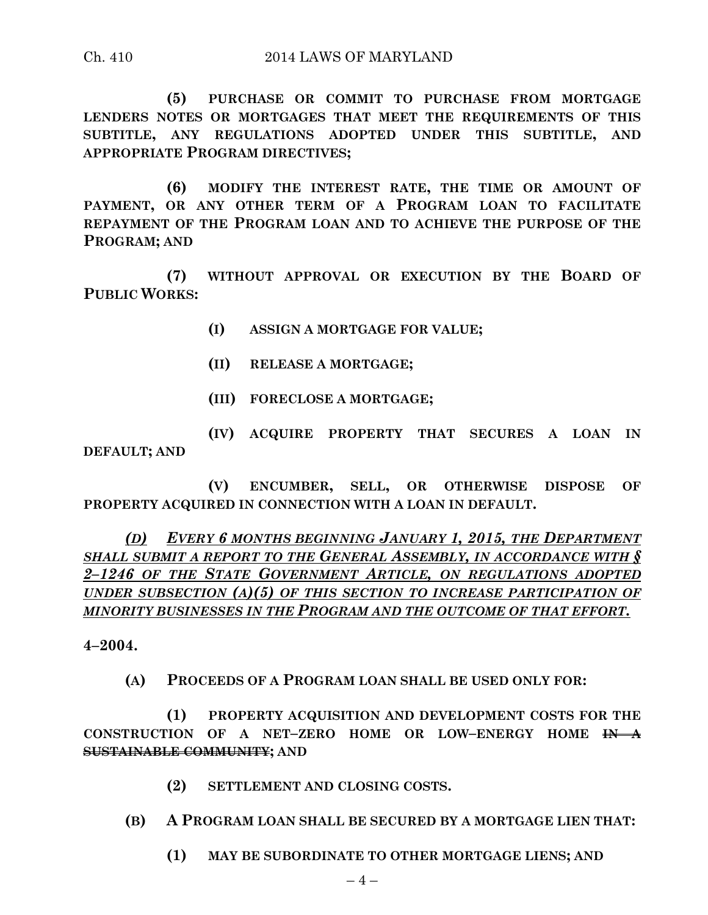**(5) PURCHASE OR COMMIT TO PURCHASE FROM MORTGAGE LENDERS NOTES OR MORTGAGES THAT MEET THE REQUIREMENTS OF THIS SUBTITLE, ANY REGULATIONS ADOPTED UNDER THIS SUBTITLE, AND APPROPRIATE PROGRAM DIRECTIVES;**

**(6) MODIFY THE INTEREST RATE, THE TIME OR AMOUNT OF PAYMENT, OR ANY OTHER TERM OF A PROGRAM LOAN TO FACILITATE REPAYMENT OF THE PROGRAM LOAN AND TO ACHIEVE THE PURPOSE OF THE PROGRAM; AND**

**(7) WITHOUT APPROVAL OR EXECUTION BY THE BOARD OF PUBLIC WORKS:**

- **(I) ASSIGN A MORTGAGE FOR VALUE;**
- **(II) RELEASE A MORTGAGE;**
- **(III) FORECLOSE A MORTGAGE;**

**(IV) ACQUIRE PROPERTY THAT SECURES A LOAN IN DEFAULT; AND**

**(V) ENCUMBER, SELL, OR OTHERWISE DISPOSE OF PROPERTY ACQUIRED IN CONNECTION WITH A LOAN IN DEFAULT.**

*(D) EVERY 6 MONTHS BEGINNING JANUARY 1, 2015, THE DEPARTMENT SHALL SUBMIT A REPORT TO THE GENERAL ASSEMBLY, IN ACCORDANCE WITH § 2–1246 OF THE STATE GOVERNMENT ARTICLE, ON REGULATIONS ADOPTED UNDER SUBSECTION (A)(5) OF THIS SECTION TO INCREASE PARTICIPATION OF MINORITY BUSINESSES IN THE PROGRAM AND THE OUTCOME OF THAT EFFORT.*

**4–2004.**

**(A) PROCEEDS OF A PROGRAM LOAN SHALL BE USED ONLY FOR:**

**(1) PROPERTY ACQUISITION AND DEVELOPMENT COSTS FOR THE CONSTRUCTION OF A NET–ZERO HOME OR LOW–ENERGY HOME IN A SUSTAINABLE COMMUNITY; AND**

- **(2) SETTLEMENT AND CLOSING COSTS.**
- **(B) A PROGRAM LOAN SHALL BE SECURED BY A MORTGAGE LIEN THAT:**
	- **(1) MAY BE SUBORDINATE TO OTHER MORTGAGE LIENS; AND**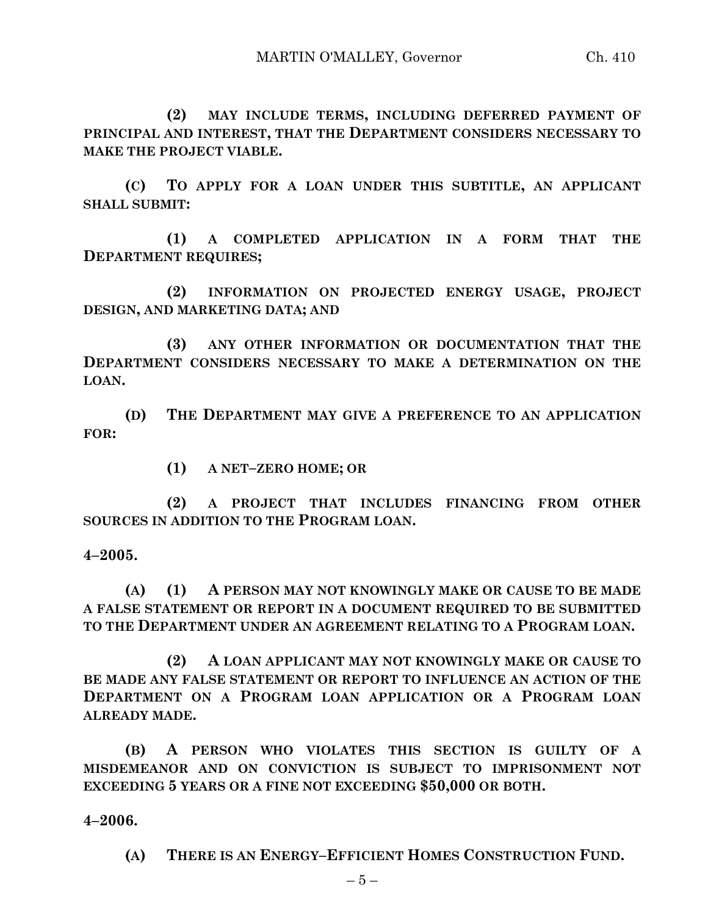**(2) MAY INCLUDE TERMS, INCLUDING DEFERRED PAYMENT OF PRINCIPAL AND INTEREST, THAT THE DEPARTMENT CONSIDERS NECESSARY TO MAKE THE PROJECT VIABLE.**

**(C) TO APPLY FOR A LOAN UNDER THIS SUBTITLE, AN APPLICANT SHALL SUBMIT:**

**(1) A COMPLETED APPLICATION IN A FORM THAT THE DEPARTMENT REQUIRES;**

**(2) INFORMATION ON PROJECTED ENERGY USAGE, PROJECT DESIGN, AND MARKETING DATA; AND** 

**(3) ANY OTHER INFORMATION OR DOCUMENTATION THAT THE DEPARTMENT CONSIDERS NECESSARY TO MAKE A DETERMINATION ON THE LOAN.**

**(D) THE DEPARTMENT MAY GIVE A PREFERENCE TO AN APPLICATION FOR:**

**(1) A NET–ZERO HOME; OR**

**(2) A PROJECT THAT INCLUDES FINANCING FROM OTHER SOURCES IN ADDITION TO THE PROGRAM LOAN.**

**4–2005.**

**(A) (1) A PERSON MAY NOT KNOWINGLY MAKE OR CAUSE TO BE MADE A FALSE STATEMENT OR REPORT IN A DOCUMENT REQUIRED TO BE SUBMITTED TO THE DEPARTMENT UNDER AN AGREEMENT RELATING TO A PROGRAM LOAN.**

**(2) A LOAN APPLICANT MAY NOT KNOWINGLY MAKE OR CAUSE TO BE MADE ANY FALSE STATEMENT OR REPORT TO INFLUENCE AN ACTION OF THE DEPARTMENT ON A PROGRAM LOAN APPLICATION OR A PROGRAM LOAN ALREADY MADE.**

**(B) A PERSON WHO VIOLATES THIS SECTION IS GUILTY OF A MISDEMEANOR AND ON CONVICTION IS SUBJECT TO IMPRISONMENT NOT EXCEEDING 5 YEARS OR A FINE NOT EXCEEDING \$50,000 OR BOTH.**

**4–2006.**

**(A) THERE IS AN ENERGY–EFFICIENT HOMES CONSTRUCTION FUND.**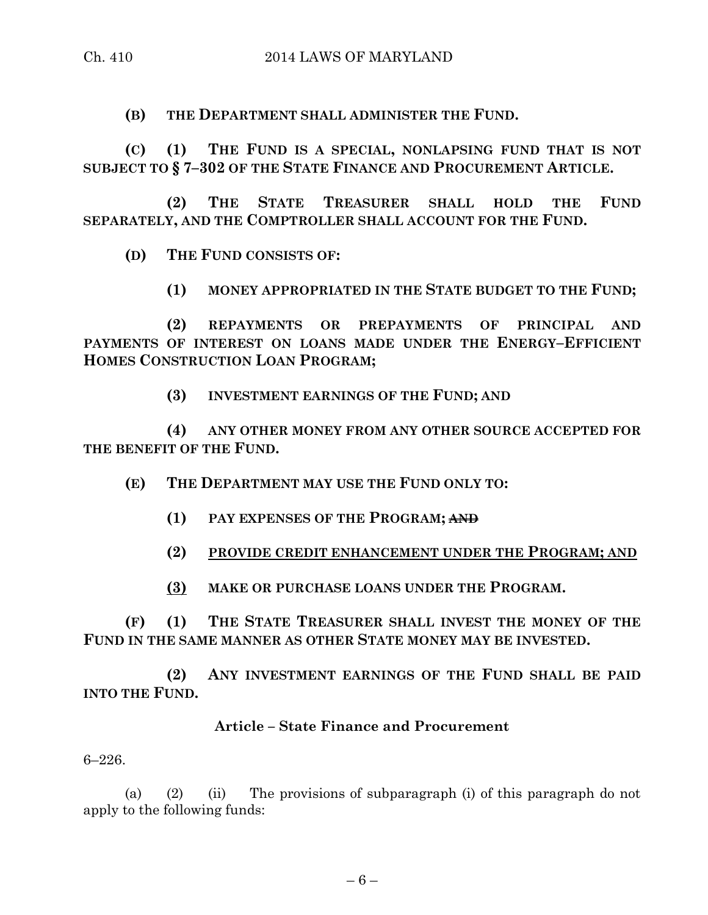**(B) THE DEPARTMENT SHALL ADMINISTER THE FUND.**

**(C) (1) THE FUND IS A SPECIAL, NONLAPSING FUND THAT IS NOT SUBJECT TO § 7–302 OF THE STATE FINANCE AND PROCUREMENT ARTICLE.**

**(2) THE STATE TREASURER SHALL HOLD THE FUND SEPARATELY, AND THE COMPTROLLER SHALL ACCOUNT FOR THE FUND.**

**(D) THE FUND CONSISTS OF:**

**(1) MONEY APPROPRIATED IN THE STATE BUDGET TO THE FUND;**

**(2) REPAYMENTS OR PREPAYMENTS OF PRINCIPAL AND PAYMENTS OF INTEREST ON LOANS MADE UNDER THE ENERGY–EFFICIENT HOMES CONSTRUCTION LOAN PROGRAM;**

**(3) INVESTMENT EARNINGS OF THE FUND; AND** 

**(4) ANY OTHER MONEY FROM ANY OTHER SOURCE ACCEPTED FOR THE BENEFIT OF THE FUND.**

**(E) THE DEPARTMENT MAY USE THE FUND ONLY TO:**

- **(1) PAY EXPENSES OF THE PROGRAM; AND**
- **(2) PROVIDE CREDIT ENHANCEMENT UNDER THE PROGRAM; AND**
- **(3) MAKE OR PURCHASE LOANS UNDER THE PROGRAM.**

**(F) (1) THE STATE TREASURER SHALL INVEST THE MONEY OF THE FUND IN THE SAME MANNER AS OTHER STATE MONEY MAY BE INVESTED.**

**(2) ANY INVESTMENT EARNINGS OF THE FUND SHALL BE PAID INTO THE FUND.**

#### **Article – State Finance and Procurement**

6–226.

(a) (2) (ii) The provisions of subparagraph (i) of this paragraph do not apply to the following funds: